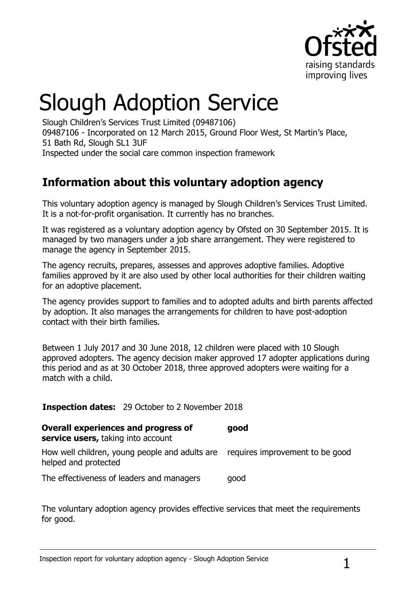

# Slough Adoption Service

Slough Children's Services Trust Limited (09487106) 09487106 - Incorporated on 12 March 2015, Ground Floor West, St Martin's Place, 51 Bath Rd, Slough SL1 3UF Inspected under the social care common inspection framework

# **Information about this voluntary adoption agency**

This voluntary adoption agency is managed by Slough Children's Services Trust Limited. It is a not-for-profit organisation. It currently has no branches.

It was registered as a voluntary adoption agency by Ofsted on 30 September 2015. It is managed by two managers under a job share arrangement. They were registered to manage the agency in September 2015.

The agency recruits, prepares, assesses and approves adoptive families. Adoptive families approved by it are also used by other local authorities for their children waiting for an adoptive placement.

The agency provides support to families and to adopted adults and birth parents affected by adoption. It also manages the arrangements for children to have post-adoption contact with their birth families.

Between 1 July 2017 and 30 June 2018, 12 children were placed with 10 Slough approved adopters. The agency decision maker approved 17 adopter applications during this period and as at 30 October 2018, three approved adopters were waiting for a match with a child.

**Inspection dates:** 29 October to 2 November 2018

#### **Overall experiences and progress of good**

**service users,** taking into account

How well children, young people and adults are requires improvement to be good helped and protected

The effectiveness of leaders and managers good

The voluntary adoption agency provides effective services that meet the requirements for good.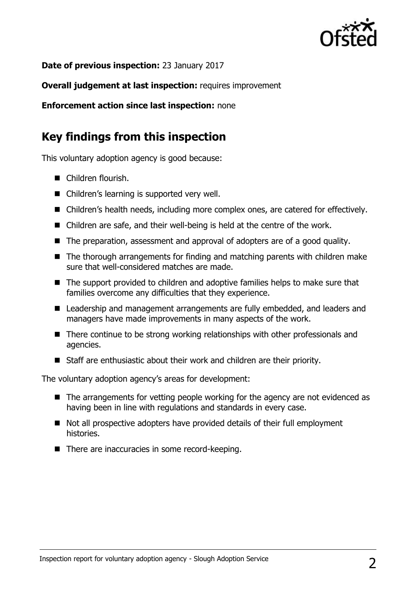

**Date of previous inspection:** 23 January 2017

**Overall judgement at last inspection:** requires improvement

**Enforcement action since last inspection:** none

## **Key findings from this inspection**

This voluntary adoption agency is good because:

- Children flourish.
- Children's learning is supported very well.
- Children's health needs, including more complex ones, are catered for effectively.
- Children are safe, and their well-being is held at the centre of the work.
- The preparation, assessment and approval of adopters are of a good quality.
- The thorough arrangements for finding and matching parents with children make sure that well-considered matches are made.
- The support provided to children and adoptive families helps to make sure that families overcome any difficulties that they experience.
- Leadership and management arrangements are fully embedded, and leaders and managers have made improvements in many aspects of the work.
- There continue to be strong working relationships with other professionals and agencies.
- Staff are enthusiastic about their work and children are their priority.

The voluntary adoption agency's areas for development:

- The arrangements for vetting people working for the agency are not evidenced as having been in line with regulations and standards in every case.
- Not all prospective adopters have provided details of their full employment histories.
- There are inaccuracies in some record-keeping.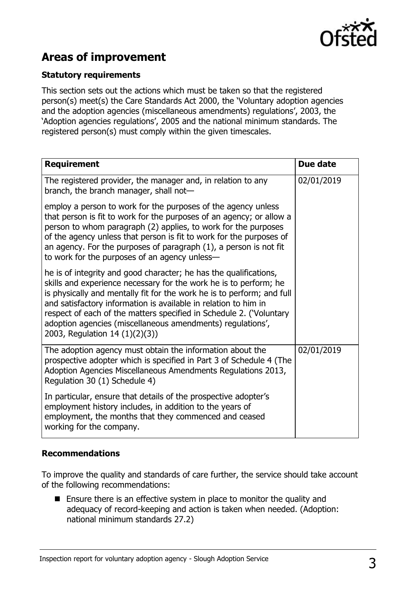

# **Areas of improvement**

#### **Statutory requirements**

This section sets out the actions which must be taken so that the registered person(s) meet(s) the Care Standards Act 2000, the 'Voluntary adoption agencies and the adoption agencies (miscellaneous amendments) regulations', 2003, the 'Adoption agencies regulations', 2005 and the national minimum standards. The registered person(s) must comply within the given timescales.

| <b>Requirement</b>                                                                                                                                                                                                                                                                                                                                                                                                                                         | Due date   |
|------------------------------------------------------------------------------------------------------------------------------------------------------------------------------------------------------------------------------------------------------------------------------------------------------------------------------------------------------------------------------------------------------------------------------------------------------------|------------|
| The registered provider, the manager and, in relation to any<br>branch, the branch manager, shall not-                                                                                                                                                                                                                                                                                                                                                     | 02/01/2019 |
| employ a person to work for the purposes of the agency unless<br>that person is fit to work for the purposes of an agency; or allow a<br>person to whom paragraph (2) applies, to work for the purposes<br>of the agency unless that person is fit to work for the purposes of<br>an agency. For the purposes of paragraph $(1)$ , a person is not fit<br>to work for the purposes of an agency unless-                                                    |            |
| he is of integrity and good character; he has the qualifications,<br>skills and experience necessary for the work he is to perform; he<br>is physically and mentally fit for the work he is to perform; and full<br>and satisfactory information is available in relation to him in<br>respect of each of the matters specified in Schedule 2. ('Voluntary<br>adoption agencies (miscellaneous amendments) regulations',<br>2003, Regulation 14 (1)(2)(3)) |            |
| The adoption agency must obtain the information about the<br>prospective adopter which is specified in Part 3 of Schedule 4 (The<br>Adoption Agencies Miscellaneous Amendments Regulations 2013,<br>Regulation 30 (1) Schedule 4)                                                                                                                                                                                                                          | 02/01/2019 |
| In particular, ensure that details of the prospective adopter's<br>employment history includes, in addition to the years of<br>employment, the months that they commenced and ceased<br>working for the company.                                                                                                                                                                                                                                           |            |

#### **Recommendations**

To improve the quality and standards of care further, the service should take account of the following recommendations:

■ Ensure there is an effective system in place to monitor the quality and adequacy of record-keeping and action is taken when needed. (Adoption: national minimum standards 27.2)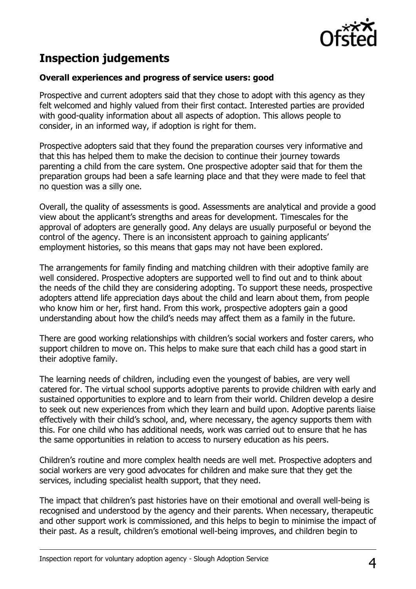

# **Inspection judgements**

#### **Overall experiences and progress of service users: good**

Prospective and current adopters said that they chose to adopt with this agency as they felt welcomed and highly valued from their first contact. Interested parties are provided with good-quality information about all aspects of adoption. This allows people to consider, in an informed way, if adoption is right for them.

Prospective adopters said that they found the preparation courses very informative and that this has helped them to make the decision to continue their journey towards parenting a child from the care system. One prospective adopter said that for them the preparation groups had been a safe learning place and that they were made to feel that no question was a silly one.

Overall, the quality of assessments is good. Assessments are analytical and provide a good view about the applicant's strengths and areas for development. Timescales for the approval of adopters are generally good. Any delays are usually purposeful or beyond the control of the agency. There is an inconsistent approach to gaining applicants' employment histories, so this means that gaps may not have been explored.

The arrangements for family finding and matching children with their adoptive family are well considered. Prospective adopters are supported well to find out and to think about the needs of the child they are considering adopting. To support these needs, prospective adopters attend life appreciation days about the child and learn about them, from people who know him or her, first hand. From this work, prospective adopters gain a good understanding about how the child's needs may affect them as a family in the future.

There are good working relationships with children's social workers and foster carers, who support children to move on. This helps to make sure that each child has a good start in their adoptive family.

The learning needs of children, including even the youngest of babies, are very well catered for. The virtual school supports adoptive parents to provide children with early and sustained opportunities to explore and to learn from their world. Children develop a desire to seek out new experiences from which they learn and build upon. Adoptive parents liaise effectively with their child's school, and, where necessary, the agency supports them with this. For one child who has additional needs, work was carried out to ensure that he has the same opportunities in relation to access to nursery education as his peers.

Children's routine and more complex health needs are well met. Prospective adopters and social workers are very good advocates for children and make sure that they get the services, including specialist health support, that they need.

The impact that children's past histories have on their emotional and overall well-being is recognised and understood by the agency and their parents. When necessary, therapeutic and other support work is commissioned, and this helps to begin to minimise the impact of their past. As a result, children's emotional well-being improves, and children begin to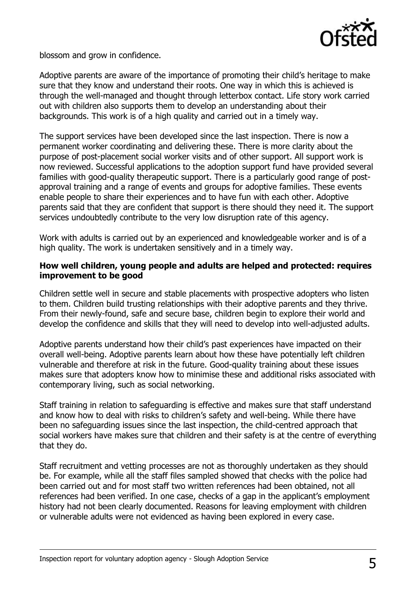

blossom and grow in confidence.

Adoptive parents are aware of the importance of promoting their child's heritage to make sure that they know and understand their roots. One way in which this is achieved is through the well-managed and thought through letterbox contact. Life story work carried out with children also supports them to develop an understanding about their backgrounds. This work is of a high quality and carried out in a timely way.

The support services have been developed since the last inspection. There is now a permanent worker coordinating and delivering these. There is more clarity about the purpose of post-placement social worker visits and of other support. All support work is now reviewed. Successful applications to the adoption support fund have provided several families with good-quality therapeutic support. There is a particularly good range of postapproval training and a range of events and groups for adoptive families. These events enable people to share their experiences and to have fun with each other. Adoptive parents said that they are confident that support is there should they need it. The support services undoubtedly contribute to the very low disruption rate of this agency.

Work with adults is carried out by an experienced and knowledgeable worker and is of a high quality. The work is undertaken sensitively and in a timely way.

#### **How well children, young people and adults are helped and protected: requires improvement to be good**

Children settle well in secure and stable placements with prospective adopters who listen to them. Children build trusting relationships with their adoptive parents and they thrive. From their newly-found, safe and secure base, children begin to explore their world and develop the confidence and skills that they will need to develop into well-adjusted adults.

Adoptive parents understand how their child's past experiences have impacted on their overall well-being. Adoptive parents learn about how these have potentially left children vulnerable and therefore at risk in the future. Good-quality training about these issues makes sure that adopters know how to minimise these and additional risks associated with contemporary living, such as social networking.

Staff training in relation to safeguarding is effective and makes sure that staff understand and know how to deal with risks to children's safety and well-being. While there have been no safeguarding issues since the last inspection, the child-centred approach that social workers have makes sure that children and their safety is at the centre of everything that they do.

Staff recruitment and vetting processes are not as thoroughly undertaken as they should be. For example, while all the staff files sampled showed that checks with the police had been carried out and for most staff two written references had been obtained, not all references had been verified. In one case, checks of a gap in the applicant's employment history had not been clearly documented. Reasons for leaving employment with children or vulnerable adults were not evidenced as having been explored in every case.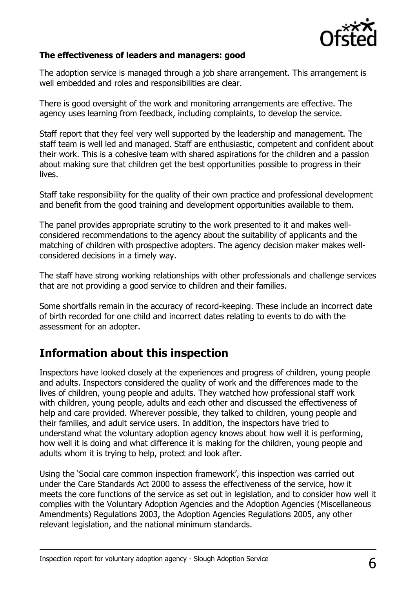

#### **The effectiveness of leaders and managers: good**

The adoption service is managed through a job share arrangement. This arrangement is well embedded and roles and responsibilities are clear.

There is good oversight of the work and monitoring arrangements are effective. The agency uses learning from feedback, including complaints, to develop the service.

Staff report that they feel very well supported by the leadership and management. The staff team is well led and managed. Staff are enthusiastic, competent and confident about their work. This is a cohesive team with shared aspirations for the children and a passion about making sure that children get the best opportunities possible to progress in their lives.

Staff take responsibility for the quality of their own practice and professional development and benefit from the good training and development opportunities available to them.

The panel provides appropriate scrutiny to the work presented to it and makes wellconsidered recommendations to the agency about the suitability of applicants and the matching of children with prospective adopters. The agency decision maker makes wellconsidered decisions in a timely way.

The staff have strong working relationships with other professionals and challenge services that are not providing a good service to children and their families.

Some shortfalls remain in the accuracy of record-keeping. These include an incorrect date of birth recorded for one child and incorrect dates relating to events to do with the assessment for an adopter.

#### **Information about this inspection**

Inspectors have looked closely at the experiences and progress of children, young people and adults. Inspectors considered the quality of work and the differences made to the lives of children, young people and adults. They watched how professional staff work with children, young people, adults and each other and discussed the effectiveness of help and care provided. Wherever possible, they talked to children, young people and their families, and adult service users. In addition, the inspectors have tried to understand what the voluntary adoption agency knows about how well it is performing, how well it is doing and what difference it is making for the children, young people and adults whom it is trying to help, protect and look after.

Using the 'Social care common inspection framework', this inspection was carried out under the Care Standards Act 2000 to assess the effectiveness of the service, how it meets the core functions of the service as set out in legislation, and to consider how well it complies with the Voluntary Adoption Agencies and the Adoption Agencies (Miscellaneous Amendments) Regulations 2003, the Adoption Agencies Regulations 2005, any other relevant legislation, and the national minimum standards.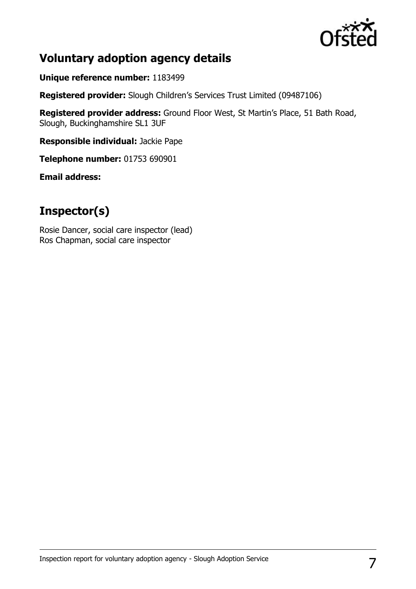

## **Voluntary adoption agency details**

**Unique reference number:** 1183499

**Registered provider:** Slough Children's Services Trust Limited (09487106)

**Registered provider address:** Ground Floor West, St Martin's Place, 51 Bath Road, Slough, Buckinghamshire SL1 3UF

**Responsible individual:** Jackie Pape

**Telephone number:** 01753 690901

**Email address:** 

# **Inspector(s)**

Rosie Dancer, social care inspector (lead) Ros Chapman, social care inspector